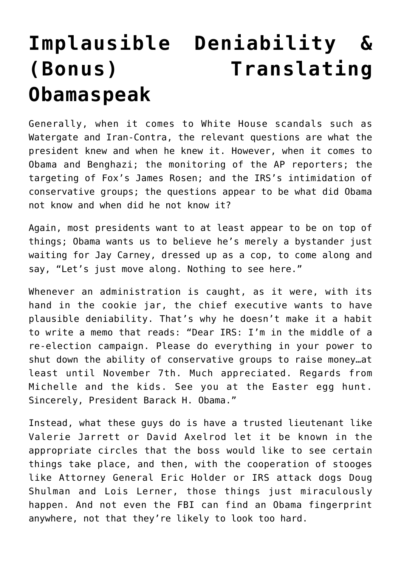## **[Implausible Deniability &](https://bernardgoldberg.com/implausible-deniability/) [\(Bonus\) Translating](https://bernardgoldberg.com/implausible-deniability/) [Obamaspeak](https://bernardgoldberg.com/implausible-deniability/)**

Generally, when it comes to White House scandals such as Watergate and Iran-Contra, the relevant questions are what the president knew and when he knew it. However, when it comes to Obama and Benghazi; the monitoring of the AP reporters; the targeting of Fox's James Rosen; and the IRS's intimidation of conservative groups; the questions appear to be what did Obama not know and when did he not know it?

Again, most presidents want to at least appear to be on top of things; Obama wants us to believe he's merely a bystander just waiting for Jay Carney, dressed up as a cop, to come along and say, "Let's just move along. Nothing to see here."

Whenever an administration is caught, as it were, with its hand in the cookie jar, the chief executive wants to have plausible deniability. That's why he doesn't make it a habit to write a memo that reads: "Dear IRS: I'm in the middle of a re-election campaign. Please do everything in your power to shut down the ability of conservative groups to raise money…at least until November 7th. Much appreciated. Regards from Michelle and the kids. See you at the Easter egg hunt. Sincerely, President Barack H. Obama."

Instead, what these guys do is have a trusted lieutenant like Valerie Jarrett or David Axelrod let it be known in the appropriate circles that the boss would like to see certain things take place, and then, with the cooperation of stooges like Attorney General Eric Holder or IRS attack dogs Doug Shulman and Lois Lerner, those things just miraculously happen. And not even the FBI can find an Obama fingerprint anywhere, not that they're likely to look too hard.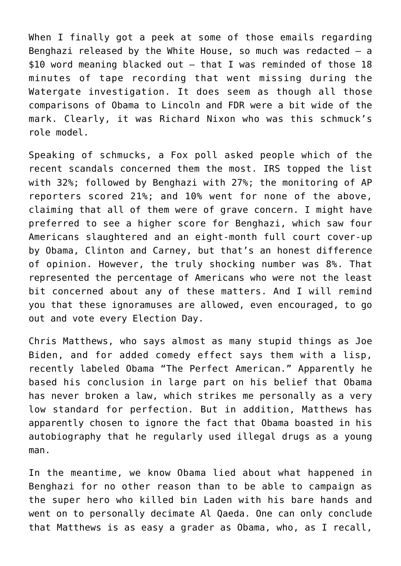When I finally got a peek at some of those emails regarding Benghazi released by the White House, so much was redacted  $-$  a \$10 word meaning blacked out — that I was reminded of those 18 minutes of tape recording that went missing during the Watergate investigation. It does seem as though all those comparisons of Obama to Lincoln and FDR were a bit wide of the mark. Clearly, it was Richard Nixon who was this schmuck's role model.

Speaking of schmucks, a Fox poll asked people which of the recent scandals concerned them the most. IRS topped the list with 32%; followed by Benghazi with 27%; the monitoring of AP reporters scored 21%; and 10% went for none of the above, claiming that all of them were of grave concern. I might have preferred to see a higher score for Benghazi, which saw four Americans slaughtered and an eight-month full court cover-up by Obama, Clinton and Carney, but that's an honest difference of opinion. However, the truly shocking number was 8%. That represented the percentage of Americans who were not the least bit concerned about any of these matters. And I will remind you that these ignoramuses are allowed, even encouraged, to go out and vote every Election Day.

Chris Matthews, who says almost as many stupid things as Joe Biden, and for added comedy effect says them with a lisp, recently labeled Obama "The Perfect American." Apparently he based his conclusion in large part on his belief that Obama has never broken a law, which strikes me personally as a very low standard for perfection. But in addition, Matthews has apparently chosen to ignore the fact that Obama boasted in his autobiography that he regularly used illegal drugs as a young man.

In the meantime, we know Obama lied about what happened in Benghazi for no other reason than to be able to campaign as the super hero who killed bin Laden with his bare hands and went on to personally decimate Al Qaeda. One can only conclude that Matthews is as easy a grader as Obama, who, as I recall,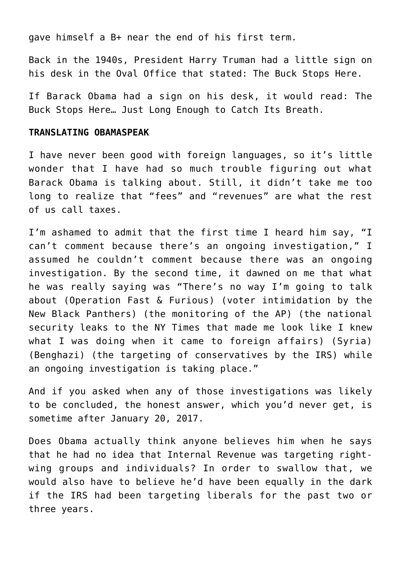gave himself a B+ near the end of his first term.

Back in the 1940s, President Harry Truman had a little sign on his desk in the Oval Office that stated: The Buck Stops Here.

If Barack Obama had a sign on his desk, it would read: The Buck Stops Here… Just Long Enough to Catch Its Breath.

## **TRANSLATING OBAMASPEAK**

I have never been good with foreign languages, so it's little wonder that I have had so much trouble figuring out what Barack Obama is talking about. Still, it didn't take me too long to realize that "fees" and "revenues" are what the rest of us call taxes.

I'm ashamed to admit that the first time I heard him say, "I can't comment because there's an ongoing investigation," I assumed he couldn't comment because there was an ongoing investigation. By the second time, it dawned on me that what he was really saying was "There's no way I'm going to talk about (Operation Fast & Furious) (voter intimidation by the New Black Panthers) (the monitoring of the AP) (the national security leaks to the NY Times that made me look like I knew what I was doing when it came to foreign affairs) (Syria) (Benghazi) (the targeting of conservatives by the IRS) while an ongoing investigation is taking place."

And if you asked when any of those investigations was likely to be concluded, the honest answer, which you'd never get, is sometime after January 20, 2017.

Does Obama actually think anyone believes him when he says that he had no idea that Internal Revenue was targeting rightwing groups and individuals? In order to swallow that, we would also have to believe he'd have been equally in the dark if the IRS had been targeting liberals for the past two or three years.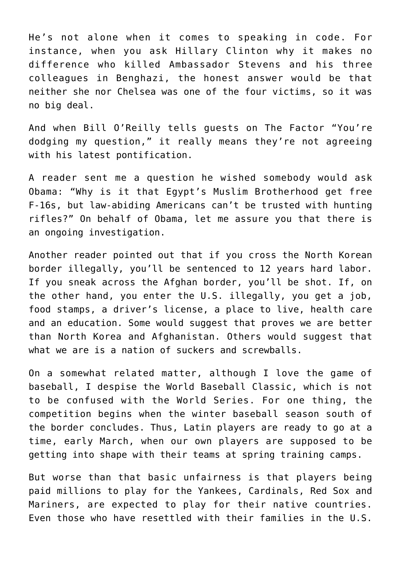He's not alone when it comes to speaking in code. For instance, when you ask Hillary Clinton why it makes no difference who killed Ambassador Stevens and his three colleagues in Benghazi, the honest answer would be that neither she nor Chelsea was one of the four victims, so it was no big deal.

And when Bill O'Reilly tells guests on The Factor "You're dodging my question," it really means they're not agreeing with his latest pontification.

A reader sent me a question he wished somebody would ask Obama: "Why is it that Egypt's Muslim Brotherhood get free F-16s, but law-abiding Americans can't be trusted with hunting rifles?" On behalf of Obama, let me assure you that there is an ongoing investigation.

Another reader pointed out that if you cross the North Korean border illegally, you'll be sentenced to 12 years hard labor. If you sneak across the Afghan border, you'll be shot. If, on the other hand, you enter the U.S. illegally, you get a job, food stamps, a driver's license, a place to live, health care and an education. Some would suggest that proves we are better than North Korea and Afghanistan. Others would suggest that what we are is a nation of suckers and screwballs.

On a somewhat related matter, although I love the game of baseball, I despise the World Baseball Classic, which is not to be confused with the World Series. For one thing, the competition begins when the winter baseball season south of the border concludes. Thus, Latin players are ready to go at a time, early March, when our own players are supposed to be getting into shape with their teams at spring training camps.

But worse than that basic unfairness is that players being paid millions to play for the Yankees, Cardinals, Red Sox and Mariners, are expected to play for their native countries. Even those who have resettled with their families in the U.S.